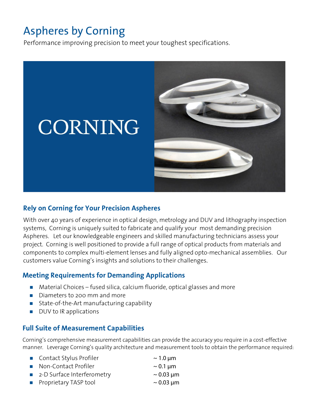# Aspheres by Corning

Performance improving precision to meet your toughest specifications.



#### **Rely on Corning for Your Precision Aspheres**

With over 40 years of experience in optical design, metrology and DUV and lithography inspection systems, Corning is uniquely suited to fabricate and qualify your most demanding precision Aspheres. Let our knowledgeable engineers and skilled manufacturing technicians assess your project. Corning is well positioned to provide a full range of optical products from materials and components to complex multi-element lenses and fully aligned opto-mechanical assemblies. Our customers value Corning's insights and solutions to their challenges.

### **Meeting Requirements for Demanding Applications**

- $\blacksquare$  Material Choices fused silica, calcium fluoride, optical glasses and more
- Diameters to 200 mm and more
- State-of-the-Art manufacturing capability
- **DUV** to IR applications

#### **Full Suite of Measurement Capabilities**

Corning's comprehensive measurement capabilities can provide the accuracy you require in a cost-effective manner. Leverage Corning's quality architecture and measurement tools to obtain the performance required:

| ■ Contact Stylus Profiler    | $\sim$ 1.0 µm  |
|------------------------------|----------------|
| • Non-Contact Profiler       | $\sim$ 0.1 µm  |
| ■ 2-D Surface Interferometry | $\sim$ 0.03 µm |
| • Proprietary TASP tool      | $\sim$ 0.03 µm |